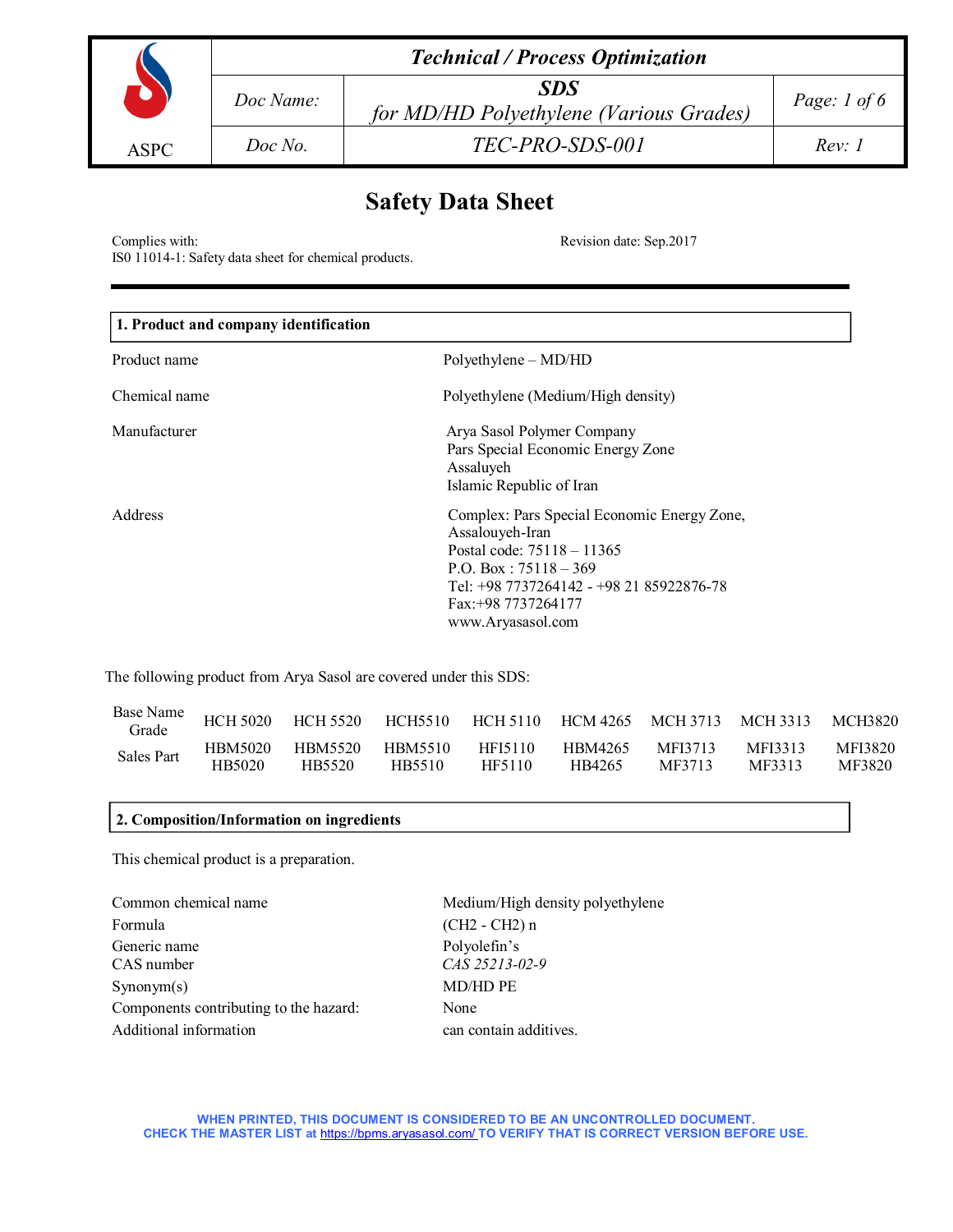|             | <b>Technical / Process Optimization</b> |                                                       |                |  |  |
|-------------|-----------------------------------------|-------------------------------------------------------|----------------|--|--|
|             | Doc Name:                               | <b>SDS</b><br>for MD/HD Polyethylene (Various Grades) | Page: $1 of 6$ |  |  |
| <b>ASPC</b> | Doc No.                                 | TEC-PRO-SDS-001                                       | Rev: I         |  |  |

# **Safety Data Sheet**

Complies with: Revision date: Sep.2017

IS0 11014-1: Safety data sheet for chemical products.

| 1. Product and company identification |                                                                                                                                                                                                                 |  |  |  |
|---------------------------------------|-----------------------------------------------------------------------------------------------------------------------------------------------------------------------------------------------------------------|--|--|--|
| Product name                          | Polyethylene – MD/HD                                                                                                                                                                                            |  |  |  |
| Chemical name                         | Polyethylene (Medium/High density)                                                                                                                                                                              |  |  |  |
| Manufacturer                          | Arya Sasol Polymer Company<br>Pars Special Economic Energy Zone<br>Assaluyeh<br>Islamic Republic of Iran                                                                                                        |  |  |  |
| Address                               | Complex: Pars Special Economic Energy Zone,<br>Assalouyeh-Iran<br>Postal code: 75118 - 11365<br>P.O. Box: $75118 - 369$<br>Tel: +98 7737264142 - +98 21 85922876-78<br>Fax: +98 7737264177<br>www.Aryasasol.com |  |  |  |

The following product from Arya Sasol are covered under this SDS:

| Base Name<br>Grade | <b>HCH 5020</b> | HCH 5520 | HCH5510 | HCH 5110 | HCM 4265 MCH 3713 |         | MCH 3313 | MCH3820 |
|--------------------|-----------------|----------|---------|----------|-------------------|---------|----------|---------|
| <b>Sales Part</b>  | HBM5020         | HBM5520  | HBM5510 | HFI5110  | HBM4265           | MFI3713 | MFI3313  | MFI3820 |
|                    | HB5020          | HB5520   | HB5510  | HF5110   | HB4265            | MF3713  | MF3313   | MF3820  |

# **2. Composition/Information on ingredients**

This chemical product is a preparation.

Common chemical name Medium/High density polyethylene Formula (CH2 - CH2) n Generic name Polyolefin's CAS number *CAS 25213-02-9* Synonym(s) MD/HD PE Components contributing to the hazard: None Additional information **can contain additives**.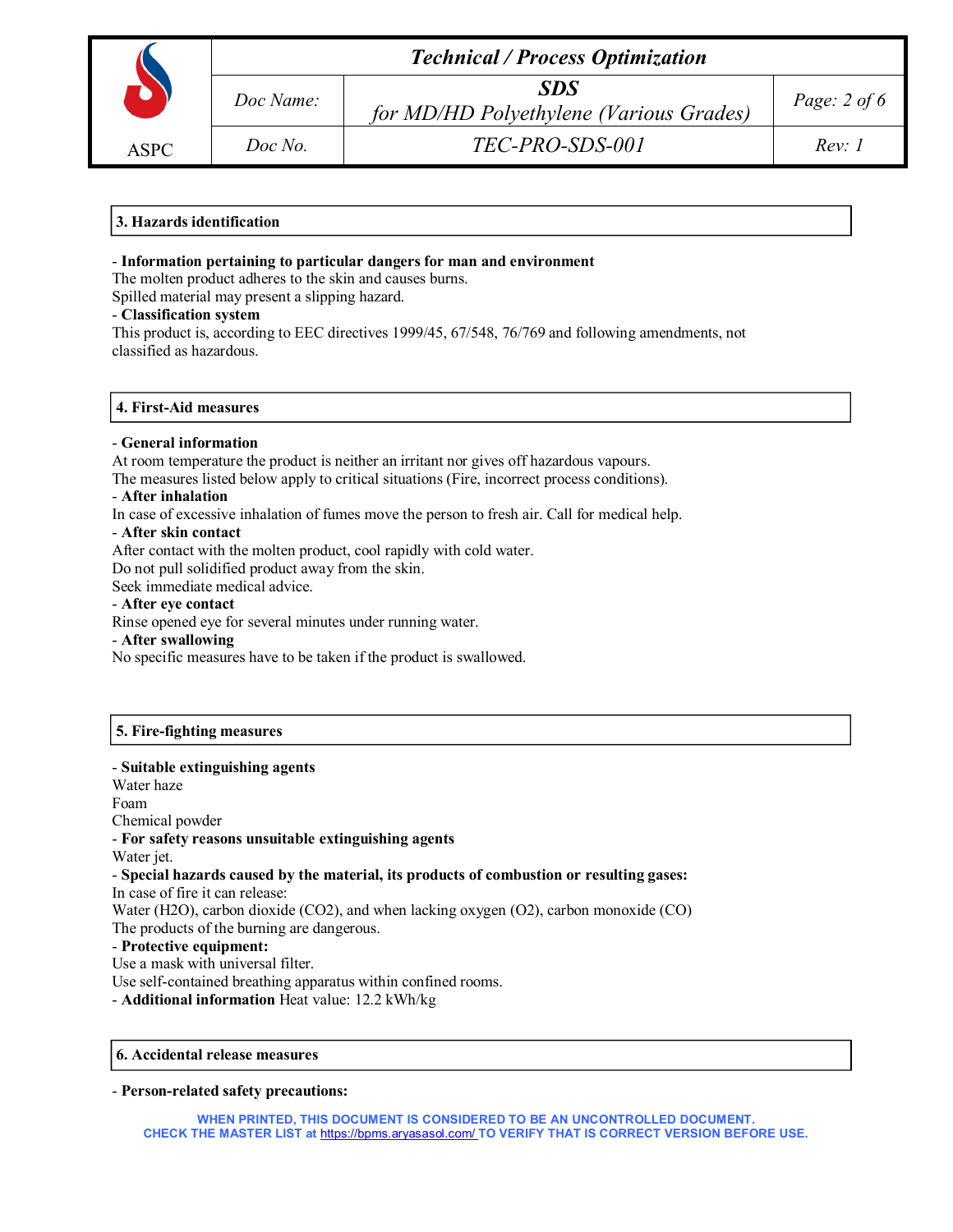| <b>ASPC</b> |  |
|-------------|--|

*Doc No. TEC-PRO-SDS-001 Rev: 1*

# **3. Hazards identification**

# - **Information pertaining to particular dangers for man and environment**

The molten product adheres to the skin and causes burns.

Spilled material may present a slipping hazard.

# - **Classification system**

This product is, according to EEC directives 1999/45, 67/548, 76/769 and following amendments, not classified as hazardous.

# **4. First-Aid measures**

## - **General information**

At room temperature the product is neither an irritant nor gives off hazardous vapours.

The measures listed below apply to critical situations (Fire, incorrect process conditions).

## - **After inhalation**

In case of excessive inhalation of fumes move the person to fresh air. Call for medical help.

## - **After skin contact**

After contact with the molten product, cool rapidly with cold water.

Do not pull solidified product away from the skin.

Seek immediate medical advice.

## - **After eye contact**

Rinse opened eye for several minutes under running water.

#### - **After swallowing**

No specific measures have to be taken if the product is swallowed.

# **5. Fire-fighting measures**

# - **Suitable extinguishing agents**

Water haze Foam Chemical powder

- **For safety reasons unsuitable extinguishing agents** 

Water jet.

## - **Special hazards caused by the material, its products of combustion or resulting gases:** In case of fire it can release:

Water (H2O), carbon dioxide (CO2), and when lacking oxygen (O2), carbon monoxide (CO) The products of the burning are dangerous.

# - **Protective equipment:**

Use a mask with universal filter.

Use self-contained breathing apparatus within confined rooms.

- **Additional information** Heat value: 12.2 kWh/kg

# **6. Accidental release measures**

- **Person-related safety precautions:**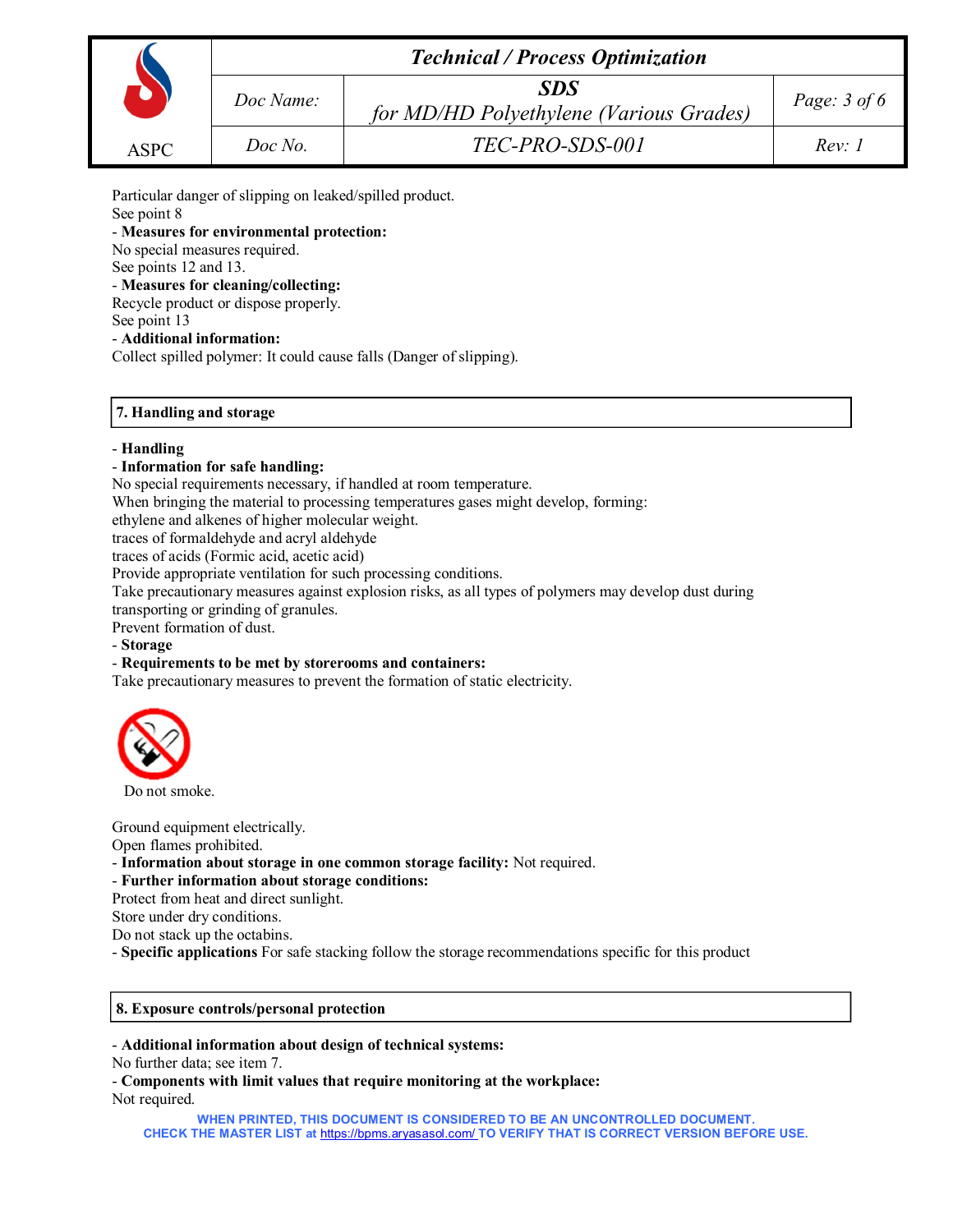|             | <b>Technical / Process Optimization</b> |                                                |                |  |  |
|-------------|-----------------------------------------|------------------------------------------------|----------------|--|--|
|             | Doc Name:                               | SDS<br>for MD/HD Polyethylene (Various Grades) | Page: $3$ of 6 |  |  |
| <b>ASPC</b> | Doc No.                                 | TEC-PRO-SDS-001                                | Rev: I         |  |  |

Particular danger of slipping on leaked/spilled product.

See point 8

- **Measures for environmental protection:**

No special measures required.

See points 12 and 13.

- **Measures for cleaning/collecting:**

Recycle product or dispose properly. See point 13

- **Additional information:** 

Collect spilled polymer: It could cause falls (Danger of slipping).

# **7. Handling and storage**

# - **Handling**

# - **Information for safe handling:**

No special requirements necessary, if handled at room temperature.

When bringing the material to processing temperatures gases might develop, forming:

ethylene and alkenes of higher molecular weight.

traces of formaldehyde and acryl aldehyde

traces of acids (Formic acid, acetic acid)

Provide appropriate ventilation for such processing conditions.

Take precautionary measures against explosion risks, as all types of polymers may develop dust during

transporting or grinding of granules.

Prevent formation of dust.

- **Storage**

# - **Requirements to be met by storerooms and containers:**

Take precautionary measures to prevent the formation of static electricity.



Do not smoke.

Ground equipment electrically.

Open flames prohibited.

- **Information about storage in one common storage facility:** Not required.

- **Further information about storage conditions:**

Protect from heat and direct sunlight.

Store under dry conditions.

Do not stack up the octabins.

- **Specific applications** For safe stacking follow the storage recommendations specific for this product

# **8. Exposure controls/personal protection**

- **Additional information about design of technical systems:** 

No further data; see item 7.

- **Components with limit values that require monitoring at the workplace:**  Not required.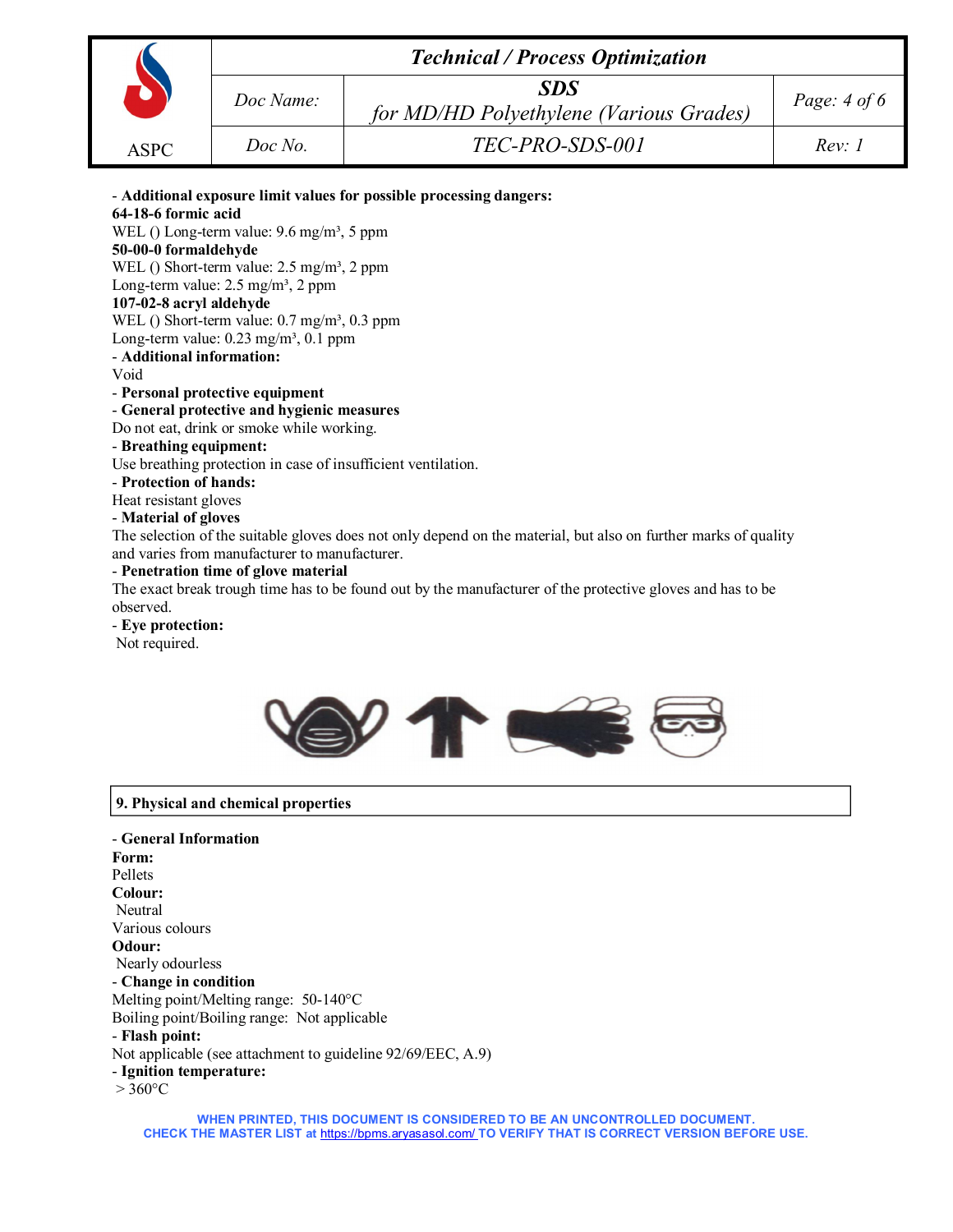|             | <b>Technical / Process Optimization</b> |                                                       |                |  |  |
|-------------|-----------------------------------------|-------------------------------------------------------|----------------|--|--|
|             | Doc Name:                               | <b>SDS</b><br>for MD/HD Polyethylene (Various Grades) | Page: $4 of 6$ |  |  |
| <b>ASPC</b> | Doc No.                                 | TEC-PRO-SDS-001                                       | Rev: I         |  |  |

- **Additional exposure limit values for possible processing dangers: 64-18-6 formic acid** WEL () Long-term value: 9.6 mg/m<sup>3</sup>, 5 ppm **50-00-0 formaldehyde** WEL () Short-term value:  $2.5 \text{ mg/m}^3$ ,  $2 \text{ ppm}$ Long-term value:  $2.5 \text{ mg/m}^3$ ,  $2 \text{ ppm}$ **107-02-8 acryl aldehyde** WEL () Short-term value:  $0.7 \text{ mg/m}^3$ ,  $0.3 \text{ ppm}$ Long-term value:  $0.23$  mg/m<sup>3</sup>,  $0.1$  ppm - **Additional information:**  Void - **Personal protective equipment** - **General protective and hygienic measures**  Do not eat, drink or smoke while working. - **Breathing equipment:**  Use breathing protection in case of insufficient ventilation. - **Protection of hands:**  Heat resistant gloves - **Material of gloves** The selection of the suitable gloves does not only depend on the material, but also on further marks of quality and varies from manufacturer to manufacturer. - **Penetration time of glove material** The exact break trough time has to be found out by the manufacturer of the protective gloves and has to be observed.

- **Eye protection:** Not required.



# **9. Physical and chemical properties**

- **General Information Form:**  Pellets **Colour:** Neutral Various colours **Odour:** Nearly odourless - **Change in condition** Melting point/Melting range: 50-140°C Boiling point/Boiling range: Not applicable - **Flash point:**  Not applicable (see attachment to guideline 92/69/EEC, A.9) - **Ignition temperature:**  $> 360$ °C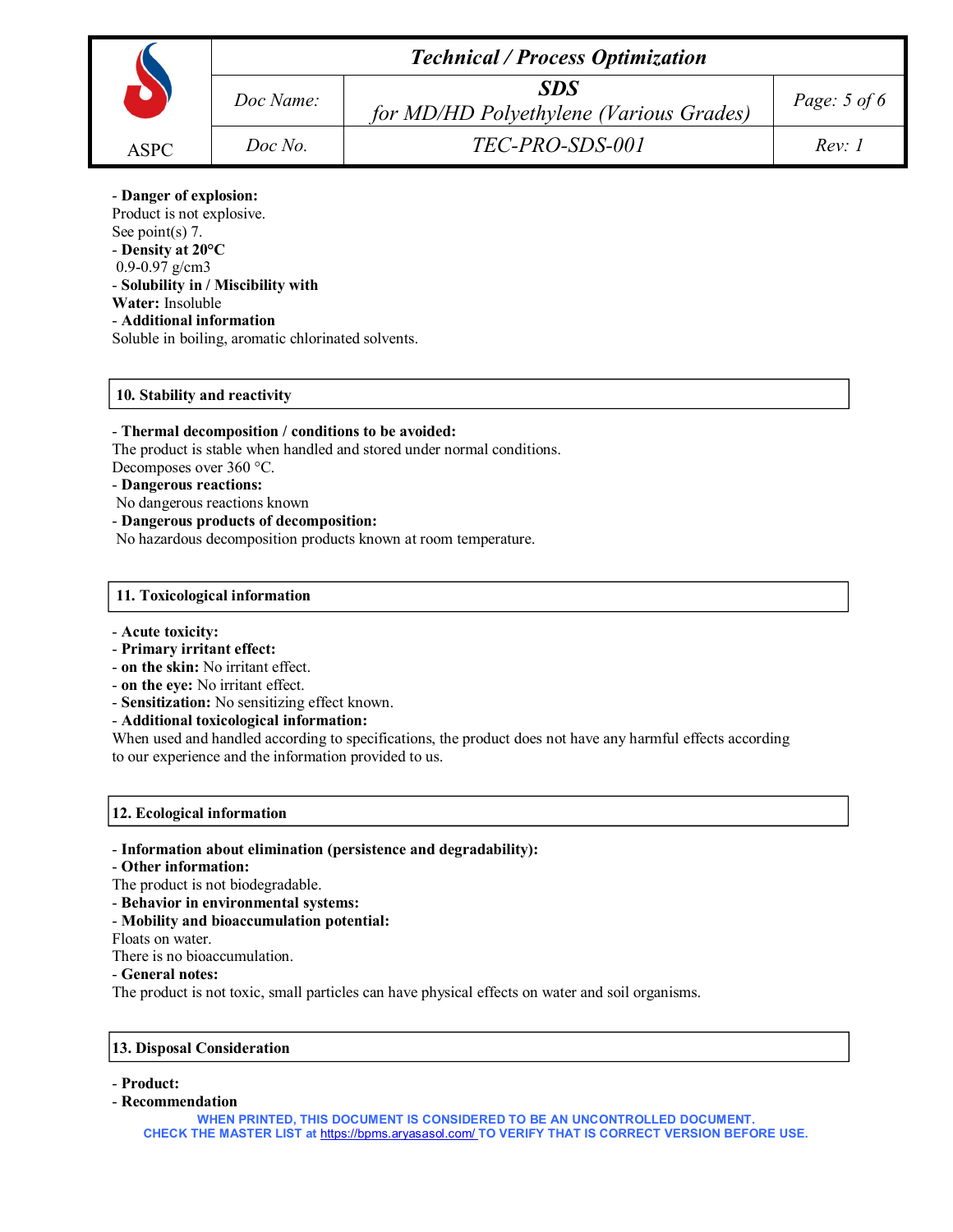|             | <b>Technical / Process Optimization</b> |                                                       |                |  |  |
|-------------|-----------------------------------------|-------------------------------------------------------|----------------|--|--|
|             | Doc Name:                               | <b>SDS</b><br>for MD/HD Polyethylene (Various Grades) | Page: $5$ of 6 |  |  |
| <b>ASPC</b> | Doc No.                                 | TEC-PRO-SDS-001                                       | Rev: I         |  |  |

# - **Danger of explosion:**

Product is not explosive. See point(s) 7. - **Density at 20°C** 0.9-0.97 g/cm3 - **Solubility in / Miscibility with Water:** Insoluble - **Additional information**  Soluble in boiling, aromatic chlorinated solvents.

# **10. Stability and reactivity**

# - **Thermal decomposition / conditions to be avoided:**

The product is stable when handled and stored under normal conditions. Decomposes over 360 °C.

# - **Dangerous reactions:**

- No dangerous reactions known
- **Dangerous products of decomposition:**

No hazardous decomposition products known at room temperature.

## **11. Toxicological information**

#### - **Acute toxicity:**

- **Primary irritant effect:**
- **on the skin:** No irritant effect.
- **on the eye:** No irritant effect.
- **Sensitization:** No sensitizing effect known.
- **Additional toxicological information:**

When used and handled according to specifications, the product does not have any harmful effects according to our experience and the information provided to us.

#### **12. Ecological information**

- **Information about elimination (persistence and degradability):**
- **Other information:**
- The product is not biodegradable.
- **Behavior in environmental systems:**
- **Mobility and bioaccumulation potential:**

Floats on water.

There is no bioaccumulation.

# - **General notes:**

The product is not toxic, small particles can have physical effects on water and soil organisms.

# **13. Disposal Consideration**

- **Product:**
- **Recommendation**

**WHEN PRINTED, THIS DOCUMENT IS CONSIDERED TO BE AN UNCONTROLLED DOCUMENT. CHECK THE MASTER LIST at** https://bpms.aryasasol.com/ **TO VERIFY THAT IS CORRECT VERSION BEFORE USE.**